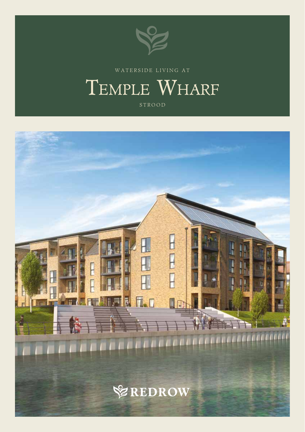

WATERSIDE LIVING A T

# TEMPLE WHARF

STROOD

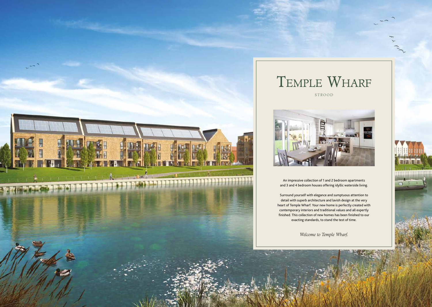

An impressive collection of 1 and 2 bedroom apartments and 3 and 4 bedroom houses offering idyllic waterside living.

Surround yourself with elegance and sumptuous attention to detail with superb architecture and lavish design at the very heart of Temple Wharf. Your new home is perfectly created with contemporary interiors and traditional values and all expertly finished. This collection of new homes has been finished to our exacting standards, to stand the test of time.

Welcome to Temple Wharf.

STROOD





 $\Box$ 

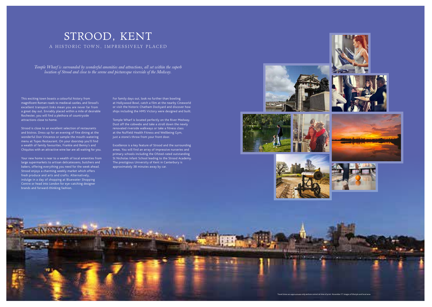### A HISTORIC TOWN, IMPRESSIVELY PLACED STROOD, KENT

*Temple Wharf is surrounded by wonderful amenities and attractions, all set within the superb location of Strood and close to the serene and picturesque riverside of the Medway.*

**ANTINO** 

Travel times are approximate only and are correct at time of print. November 17. Images of lifestyle and local area.

This exciting town boasts a colourful history from magnificent Roman roads to medieval castles, and Strood's excellent transport links mean you are never far from a great day out. Enviably placed within a mile of desirable Rochester, you will find a plethora of countryside attractions close to home.

Temple Wharf is located perfectly on the River Medway. Dust off the cobwebs and take a stroll down the newly renovated riverside walkways or take a fitness class at the Nuffield Health Fitness and Wellbeing Gym, just a stone's throw from your front door.

Strood is close to an excellent selection of restaurants and bistros. Dress up for an evening of fine dining at the wonderful Don Vincenzo or sample the mouth-watering menu at Topes Restaurant. On your doorstep you'll find a wealth of family favourites, Frankie and Benny's and Chiquitos with an attractive wine bar are all waiting for you.

Your new home is near to a wealth of local amenities from large supermarkets to artisan delicatessens, butchers and bakers, offering everything you need for the week ahead. Strood enjoys a charming weekly market which offers fresh produce and arts and crafts. Alternatively, indulge in a day of shopping at Bluewater Shopping Centre or head into London for eye-catching designer brands and forward-thinking fashion.

For family days out, look no further than bowling at Hollywood Bowl, catch a film at the nearby Cineworld or visit the historic Chatham Dockyard and discover how ships including the HMS Victory were designed and built.

Excellence is a key feature of Strood and the surrounding areas. You will find an array of impressive nurseries and primary schools including the Ofsted-rated outstanding St Nicholas Infant School leading to the Strood Academy. The prestigious University of Kent in Canterbury is approximately 38 minutes away by car.







**CONTRACTOR** 









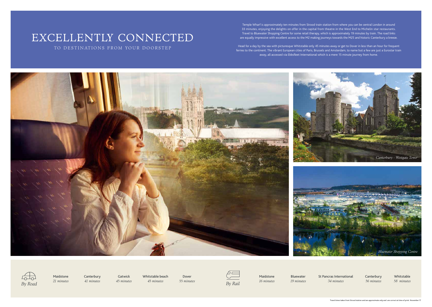# EXCELLENTLY CONNECTED

TO DESTINATIONS FROM YOUR DOORSTEP

Temple Wharf is approximately ten minutes from Strood train station from where you can be central London in around 33 minutes, enjoying the delights on offer in the capital from theatre in the West End to Michelin star restaurants. Travel to Bluewater Shopping Centre for some retail therapy, which is approximately 19 minutes by train. The road links are equally impressive with excellent access to the M2 making journeys towards the M25 and historic Canterbury a breeze.

Head for a day by the sea with picturesque Whitstable only 45 minutes away or get to Dover in less than an hour for frequent ferries to the continent. The vibrant European cities of Paris, Brussels and Amsterdam, to name but a few are just a Eurostar train away, all accessed via Ebbsfleet International which is a mere 15 minute journey from home.



Canterbury 41 minutes

Maidstone 21 minutes Maidstone 16 minutes

Gatwick 45 minutes Whitstable beach 45 minutes

Dover



Bluewater 19 minutes St Pancras International 34 minutes

Canterbury 56 minutes

Whitstable 58 minutes

Travel times taken from Strood station and are approximate only and are correct at time of print. November 17.

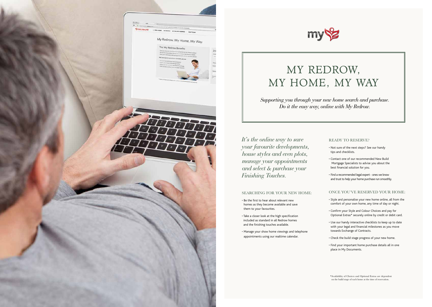

## my'

# MY REDROW, MY HOME, MY WAY

*Supporting you through your new home search and purchase. Do it the easy way, online with My Redrow.*

#### SEARCHING FOR YOUR NEW HOME:

- Be the first to hear about relevant new homes as they become available and save them to your favourites.
- Take a closer look at the high specification included as standard in all Redrow homes and the finishing touches available.
- Manage your show home viewings and telephone appointments using our realtime calendar.



#### READY TO RESERVE?

- Not sure of the next steps? See our handy tips and checklists.
- Contact one of our recommended New Build Mortgage Specialists to advise you about the best financial solution for you.
- Find a recommended legal expert ones we know and trust to help your home purchase run smoothly.

#### ONCE YOU'VE RESERVED YOUR HOME:

- Style and personalise your new home online, all from the comfort of your own home, any time of day or night.
- Confirm your Style and Colour Choices and pay for Optional Extras\* securely online by credit or debit card.
- Use our handy interactive checklists to keep up to date with your legal and financial milestones as you move towards Exchange of Contracts.
- Check the build stage progress of your new home.
- Find your important home purchase details all in one place in My Documents.

*It's the online way to save your favourite developments, house styles and even plots, manage your appointments and select & purchase your Finishing Touches.*

<sup>\*</sup>Availability of Choices and Optional Extras are dependent on the build stage of each home at the time of reservation.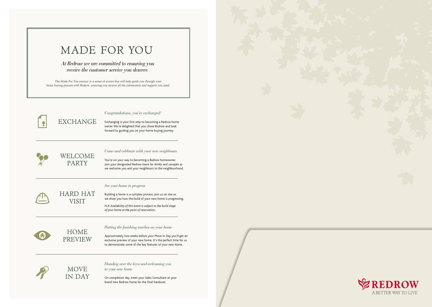EXCHANGE

*Congratulations, you've exchanged!*

Exchanging is your first step to becoming a Redrow home owner. We're delighted that you chose Redrow and look forward to guiding you on your home buying journey.

### WELCOME PARTY

*Come and celebrate with your new neighbours*

You're on your way to becoming a Redrow homeowner. Join your designated Redrow team for drinks and canapés as we welcome you and your neighbours to the neighbourhood.

HARD HAT VISIT

*See your home in progress*

Building a home is a complex process. Join us on site as we show you how the build of your new home is progressing. *N.B. Availability of this event is subject to the build stage of your home at the point of reservation.*

HOME PREVIEW

#### *Putting the finishing touches on your home*

Approximately two weeks before your Move In Day you'll get an exclusive preview of your new home. It's the perfect time for us to demonstrate some of the key features of your new home.

MOVE

IN DAY

*Handing over the keys and welcoming you to your new home*

On completion day, meet your Sales Consultant at your brand new Redrow home for the final handover.





## MADE FOR YOU

*At Redrow we are committed to ensuring you receive the customer service you deserve.*

The Made For You journey is a series of events that will help guide you through your home buying process with Redrow, ensuring you receive all the information and support you need.